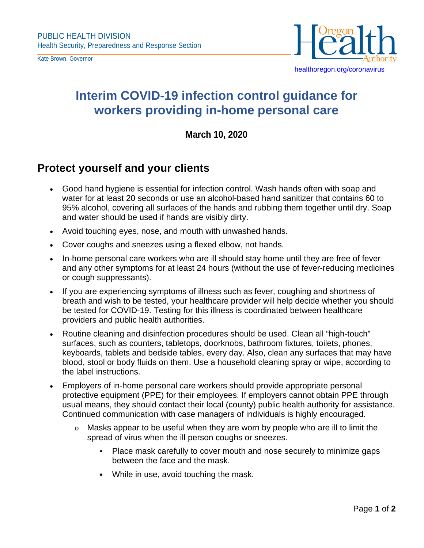Kate Brown, Governor



## **Interim COVID-19 infection control guidance for workers providing in-home personal care**

## **March 10, 2020**

## **Protect yourself and your clients**

- Good hand hygiene is essential for infection control. Wash hands often with soap and water for at least 20 seconds or use an alcohol-based hand sanitizer that contains 60 to 95% alcohol, covering all surfaces of the hands and rubbing them together until dry. Soap and water should be used if hands are visibly dirty.
- Avoid touching eyes, nose, and mouth with unwashed hands.
- Cover coughs and sneezes using a flexed elbow, not hands.
- In-home personal care workers who are ill should stay home until they are free of fever and any other symptoms for at least 24 hours (without the use of fever-reducing medicines or cough suppressants).
- If you are experiencing symptoms of illness such as fever, coughing and shortness of breath and wish to be tested, your healthcare provider will help decide whether you should be tested for COVID-19. Testing for this illness is coordinated between healthcare providers and public health authorities.
- Routine cleaning and disinfection procedures should be used. Clean all "high-touch" surfaces, such as counters, tabletops, doorknobs, bathroom fixtures, toilets, phones, keyboards, tablets and bedside tables, every day. Also, clean any surfaces that may have blood, stool or body fluids on them. Use a household cleaning spray or wipe, according to the label instructions.
- Employers of in-home personal care workers should provide appropriate personal protective equipment (PPE) for their employees. If employers cannot obtain PPE through usual means, they should contact their local (county) public health authority for assistance. Continued communication with case managers of individuals is highly encouraged.
	- $\circ$  Masks appear to be useful when they are worn by people who are ill to limit the spread of virus when the ill person coughs or sneezes.
		- Place mask carefully to cover mouth and nose securely to minimize gaps between the face and the mask.
		- While in use, avoid touching the mask.